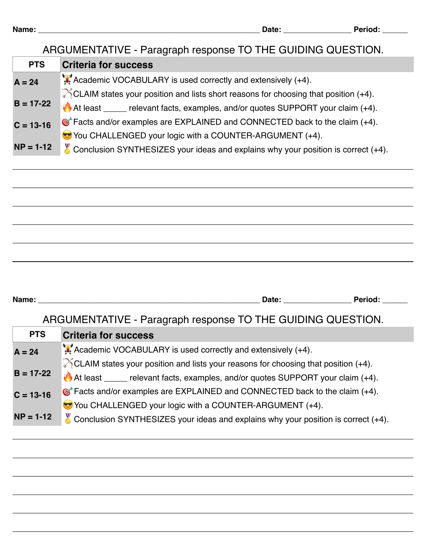## ARGUMENTATIVE - Paragraph response TO THE GUIDING QUESTION.

| <b>PTS</b>    | <b>Criteria for success</b>                                                                          |
|---------------|------------------------------------------------------------------------------------------------------|
| $A = 24$      | Academic VOCABULARY is used correctly and extensively (+4).                                          |
|               | $\triangleright$ CLAIM states your position and lists short reasons for choosing that position (+4). |
| $B = 17-22$   | At least _____ relevant facts, examples, and/or quotes SUPPORT your claim (+4).                      |
| $C = 13 - 16$ | <b>The SET ALCO EXAMPLES</b> are EXPLAINED and CONNECTED back to the claim (+4).                     |
|               | You CHALLENGED your logic with a COUNTER-ARGUMENT (+4).                                              |
| $NP = 1-12$   | $\%$ Conclusion SYNTHESIZES your ideas and explains why your position is correct (+4).               |
|               |                                                                                                      |

\_\_\_\_\_\_\_\_\_\_\_\_\_\_\_\_\_\_\_\_\_\_\_\_\_\_\_\_\_\_\_\_\_\_\_\_\_\_\_\_\_\_\_\_\_\_\_\_\_\_\_\_\_\_\_\_\_\_\_\_\_\_\_\_\_\_\_\_\_\_\_\_\_\_\_\_\_\_\_\_\_\_\_\_\_\_\_\_\_\_\_\_\_\_

\_\_\_\_\_\_\_\_\_\_\_\_\_\_\_\_\_\_\_\_\_\_\_\_\_\_\_\_\_\_\_\_\_\_\_\_\_\_\_\_\_\_\_\_\_\_\_\_\_\_\_\_\_\_\_\_\_\_\_\_\_\_\_\_\_\_\_\_\_\_\_\_\_\_\_\_\_\_\_\_\_\_\_\_\_\_\_\_\_\_\_\_\_\_

\_\_\_\_\_\_\_\_\_\_\_\_\_\_\_\_\_\_\_\_\_\_\_\_\_\_\_\_\_\_\_\_\_\_\_\_\_\_\_\_\_\_\_\_\_\_\_\_\_\_\_\_\_\_\_\_\_\_\_\_\_\_\_\_\_\_\_\_\_\_\_\_\_\_\_\_\_\_\_\_\_\_\_\_\_\_\_\_\_\_\_\_\_\_

\_\_\_\_\_\_\_\_\_\_\_\_\_\_\_\_\_\_\_\_\_\_\_\_\_\_\_\_\_\_\_\_\_\_\_\_\_\_\_\_\_\_\_\_\_\_\_\_\_\_\_\_\_\_\_\_\_\_\_\_\_\_\_\_\_\_\_\_\_\_\_\_\_\_\_\_\_\_\_\_\_\_\_\_\_\_\_\_\_\_\_\_\_\_

\_\_\_\_\_\_\_\_\_\_\_\_\_\_\_\_\_\_\_\_\_\_\_\_\_\_\_\_\_\_\_\_\_\_\_\_\_\_\_\_\_\_\_\_\_\_\_\_\_\_\_\_\_\_\_\_\_\_\_\_\_\_\_\_\_\_\_\_\_\_\_\_\_\_\_\_\_\_\_\_\_\_\_\_\_\_\_\_\_\_\_\_\_\_

**Name: \_\_\_\_\_\_\_\_\_\_\_\_\_\_\_\_\_\_\_\_\_\_\_\_\_\_\_\_\_\_\_\_\_\_\_\_\_\_\_\_\_\_\_\_\_\_\_\_\_\_\_\_ Date: \_\_\_\_\_\_\_\_\_\_\_\_\_\_\_\_ Period: \_\_\_\_\_\_**

## ARGUMENTATIVE - Paragraph response TO THE GUIDING QUESTION.

| <b>PTS</b>    | <b>Criteria for success</b>                                                                         |
|---------------|-----------------------------------------------------------------------------------------------------|
| $A = 24$      | Academic VOCABULARY is used correctly and extensively (+4).                                         |
| $B = 17 - 22$ | $\triangleright$ CLAIM states your position and lists your reasons for choosing that position (+4). |
|               | At least _____ relevant facts, examples, and/or quotes SUPPORT your claim (+4).                     |
| $C = 13 - 16$ | $\circ$ Facts and/or examples are EXPLAINED and CONNECTED back to the claim (+4).                   |
|               | You CHALLENGED your logic with a COUNTER-ARGUMENT (+4).                                             |
| $NP = 1-12$   | Conclusion SYNTHESIZES your ideas and explains why your position is correct $(+4)$ .                |

\_\_\_\_\_\_\_\_\_\_\_\_\_\_\_\_\_\_\_\_\_\_\_\_\_\_\_\_\_\_\_\_\_\_\_\_\_\_\_\_\_\_\_\_\_\_\_\_\_\_\_\_\_\_\_\_\_\_\_\_\_\_\_\_\_\_\_\_\_\_\_\_\_\_\_\_\_\_\_\_\_\_\_\_\_\_\_\_\_\_\_\_\_\_

\_\_\_\_\_\_\_\_\_\_\_\_\_\_\_\_\_\_\_\_\_\_\_\_\_\_\_\_\_\_\_\_\_\_\_\_\_\_\_\_\_\_\_\_\_\_\_\_\_\_\_\_\_\_\_\_\_\_\_\_\_\_\_\_\_\_\_\_\_\_\_\_\_\_\_\_\_\_\_\_\_\_\_\_\_\_\_\_\_\_\_\_\_\_

\_\_\_\_\_\_\_\_\_\_\_\_\_\_\_\_\_\_\_\_\_\_\_\_\_\_\_\_\_\_\_\_\_\_\_\_\_\_\_\_\_\_\_\_\_\_\_\_\_\_\_\_\_\_\_\_\_\_\_\_\_\_\_\_\_\_\_\_\_\_\_\_\_\_\_\_\_\_\_\_\_\_\_\_\_\_\_\_\_\_\_\_\_\_

\_\_\_\_\_\_\_\_\_\_\_\_\_\_\_\_\_\_\_\_\_\_\_\_\_\_\_\_\_\_\_\_\_\_\_\_\_\_\_\_\_\_\_\_\_\_\_\_\_\_\_\_\_\_\_\_\_\_\_\_\_\_\_\_\_\_\_\_\_\_\_\_\_\_\_\_\_\_\_\_\_\_\_\_\_\_\_\_\_\_\_\_\_\_

\_\_\_\_\_\_\_\_\_\_\_\_\_\_\_\_\_\_\_\_\_\_\_\_\_\_\_\_\_\_\_\_\_\_\_\_\_\_\_\_\_\_\_\_\_\_\_\_\_\_\_\_\_\_\_\_\_\_\_\_\_\_\_\_\_\_\_\_\_\_\_\_\_\_\_\_\_\_\_\_\_\_\_\_\_\_\_\_\_\_\_\_\_\_

\_\_\_\_\_\_\_\_\_\_\_\_\_\_\_\_\_\_\_\_\_\_\_\_\_\_\_\_\_\_\_\_\_\_\_\_\_\_\_\_\_\_\_\_\_\_\_\_\_\_\_\_\_\_\_\_\_\_\_\_\_\_\_\_\_\_\_\_\_\_\_\_\_\_\_\_\_\_\_\_\_\_\_\_\_\_\_\_\_\_\_\_\_\_